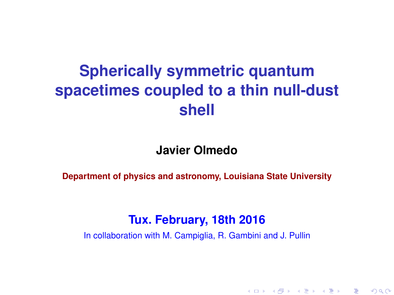# **Spherically symmetric quantum spacetimes coupled to a thin null-dust shell**

#### **Javier Olmedo**

**Department of physics and astronomy, Louisiana State University**

#### **Tux. February, 18th 2016**

In collaboration with M. Campiglia, R. Gambini and J. Pullin

K ロ ▶ K @ ▶ K 할 ▶ K 할 ▶ ① 할 → ① 의안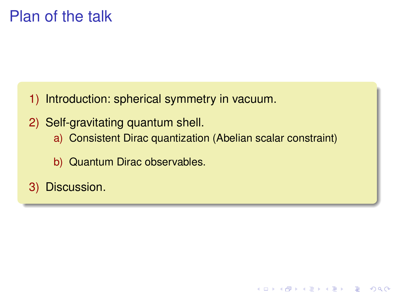# Plan of the talk

- 1) Introduction: spherical symmetry in vacuum.
- 2) Self-gravitating quantum shell.
	- a) Consistent Dirac quantization (Abelian scalar constraint)

K ロ ▶ K @ ▶ K 할 ▶ K 할 ▶ | 할 | K 9 Q Q

- b) Quantum Dirac observables.
- 3) Discussion.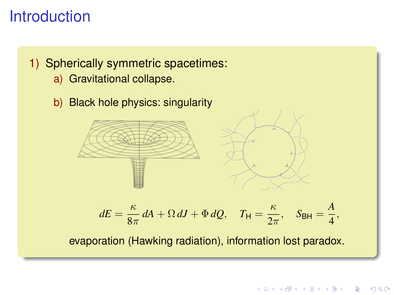# **Introduction**

#### 1) Spherically symmetric spacetimes:

- a) Gravitational collapse.
- b) Black hole physics: singularity



$$
dE = \frac{\kappa}{8\pi} dA + \Omega dJ + \Phi dQ, \quad T_{\mathsf{H}} = \frac{\kappa}{2\pi}, \quad S_{\mathsf{BH}} = \frac{A}{4},
$$

evaporation (Hawking radiation), information lost paradox.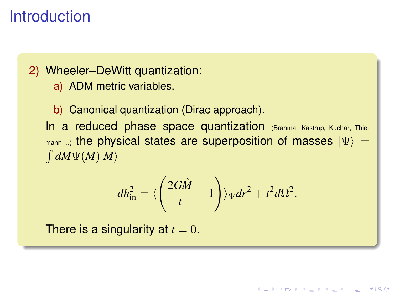# **Introduction**

2) Wheeler–DeWitt quantization:

a) ADM metric variables.

b) Canonical quantization (Dirac approach). In a reduced phase space quantization (Brahma, Kastrup, Kuchař, Thiemann ...) the physical states are superposition of masses  $|\Psi\rangle =$  $\int dM\Psi(M)|M\rangle$ 

$$
dh_{\rm in}^2 = \langle \left(\frac{2G\hat{M}}{t} - 1\right) \rangle_{\Psi} dr^2 + t^2 d\Omega^2.
$$

**KOD KOD KED KED E VOOR** 

There is a singularity at  $t = 0$ .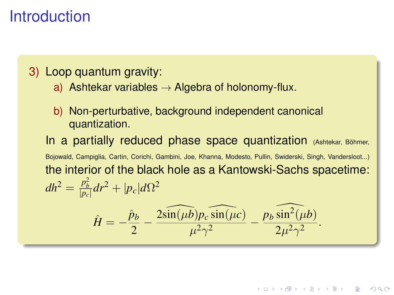# **Introduction**

3) Loop quantum gravity:

- a) Ashtekar variables  $\rightarrow$  Algebra of holonomy-flux.
- b) Non-perturbative, background independent canonical quantization.

In a partially reduced phase space quantization  $(As)$  Hekar, Böhmer, Bojowald, Campiglia, Cartin, Corichi, Gambini, Joe, Khanna, Modesto, Pullin, Swiderski, Singh, Vandersloot...) the interior of the black hole as a Kantowski-Sachs spacetime:  $dh^2 = \frac{p_b^2}{|p_c|}dr^2 + |p_c|d\Omega^2$  $\hat{H}=-\frac{\hat{p}_b}{2}$  $\frac{\partial_b}{\partial_2} - \frac{2\widehat{\sin(\mu b)}p_c\widehat{\sin(\mu c)}}{\mu^2\gamma^2}$  $\frac{\widehat{b}p_c\widehat{\sin(\mu c)}}{\mu^2\gamma^2} - \frac{p_b\widehat{\sin^2(\mu b)}}{2\mu^2\gamma^2}$  $\frac{\sin(\mu s)}{2\mu^2\gamma^2}$ .

**KOD KOD KED KED E VOOR**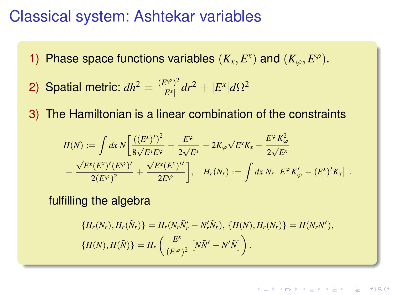### Classical system: Ashtekar variables

- 1) Phase space functions variables  $(K_x, E^x)$  and  $(K_\varphi, E^\varphi)$ .
- 2) Spatial metric:  $dh^2 = \frac{(E^\varphi)^2}{|E^\chi|}$  $\frac{E^{\varphi})^2}{|E^{\chi}|}dr^2 + |E^{\chi}|d\Omega^2$
- 3) The Hamiltonian is a linear combination of the constraints

$$
H(N) := \int dx \, N \left[ \frac{\left((E^x)^{\prime}\right)^2}{8\sqrt{E^x}E^{\varphi}} - \frac{E^{\varphi}}{2\sqrt{E^x}} - 2K_{\varphi}\sqrt{E^x}K_x - \frac{E^{\varphi}K_{\varphi}^2}{2\sqrt{E^x}} \right] - \frac{\sqrt{E^x}(E^x)^{\prime}(E^{\varphi})^{\prime}}{2(E^{\varphi})^2} + \frac{\sqrt{E^x}(E^x)^{\prime \prime}}{2E^{\varphi}} \right], \quad H_r(N_r) := \int dx \, N_r \left[E^{\varphi}K_{\varphi}^{\prime} - (E^x)^{\prime}K_x\right] \, .
$$

fulfilling the algebra

$$
\{H_r(N_r), H_r(\tilde{N}_r)\} = H_r(N_r\tilde{N}_r' - N_r'\tilde{N}_r), \{H(N), H_r(N_r)\} = H(N_rN'),
$$
  

$$
\{H(N), H(\tilde{N})\} = H_r\left(\frac{E^x}{(E^\varphi)^2} \left[N\tilde{N}' - N'\tilde{N}\right]\right).
$$

**KORK EXTERNED ARA**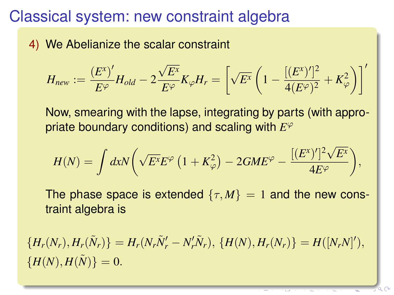# Classical system: new constraint algebra

4) We Abelianize the scalar constraint

$$
H_{new} := \frac{(E^x)'}{E^\varphi} H_{old} - 2 \frac{\sqrt{E^x}}{E^\varphi} K_\varphi H_r = \left[ \sqrt{E^x} \left( 1 - \frac{[(E^x)']^2}{4(E^\varphi)^2} + K_\varphi^2 \right) \right]'
$$

Now, smearing with the lapse, integrating by parts (with appropriate boundary conditions) and scaling with *E* ϕ

$$
H(N) = \int dx N \bigg( \sqrt{E^x} E^{\varphi} \left( 1 + K_{\varphi}^2 \right) - 2 G M E^{\varphi} - \frac{[(E^x)']^2 \sqrt{E^x}}{4 E^{\varphi}} \bigg),
$$

The phase space is extended  $\{\tau, M\} = 1$  and the new constraint algebra is

 ${H_r(N_r), H_r(\tilde{N}_r) = H_r(N_r\tilde{N}'_r - N'_r\tilde{N}_r), \{H(N), H_r(N_r)\} = H([N_rN']'),$  ${H(N), H(\tilde{N}) = 0.$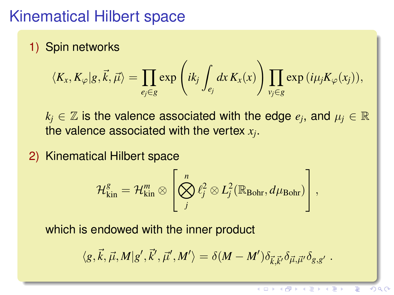# Kinematical Hilbert space

1) Spin networks

$$
\langle K_{x}, K_{\varphi}|g,\vec{k},\vec{\mu}\rangle = \prod_{e_j\in g} \exp\left(ik_j \int_{e_j} dx K_{x}(x)\right) \prod_{v_j\in g} \exp(i\mu_j K_{\varphi}(x_j)),
$$

 $k_j \in \mathbb{Z}$  is the valence associated with the edge  $e_j$ , and  $\mu_j \in \mathbb{R}$ the valence associated with the vertex *x<sup>j</sup>* .

2) Kinematical Hilbert space

$$
\mathcal{H}_{\text{kin}}^g = \mathcal{H}_{\text{kin}}^m \otimes \left[ \bigotimes_j^n \ell_j^2 \otimes L_j^2(\mathbb{R}_{\text{Bohr}}, d\mu_{\text{Bohr}}) \right],
$$

which is endowed with the inner product

$$
\langle g,\vec{k},\vec{\mu},M|g',\vec{k}',\vec{\mu}',M'\rangle=\delta(M-M')\delta_{\vec{k},\vec{k}'}\delta_{\vec{\mu},\vec{\mu}'}\delta_{g,g'}.
$$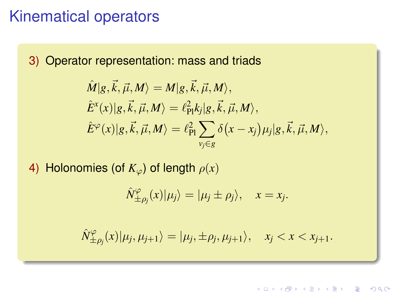### Kinematical operators

3) Operator representation: mass and triads

$$
\hat{M}|g,\vec{k},\vec{\mu},M\rangle = M|g,\vec{k},\vec{\mu},M\rangle,
$$
  
\n
$$
\hat{E}^{x}(x)|g,\vec{k},\vec{\mu},M\rangle = \ell_{\text{Pl}}^{2}k_{j}|g,\vec{k},\vec{\mu},M\rangle,
$$
  
\n
$$
\hat{E}^{\varphi}(x)|g,\vec{k},\vec{\mu},M\rangle = \ell_{\text{Pl}}^{2}\sum_{v_{j}\in g}\delta(x-x_{j})\mu_{j}|g,\vec{k},\vec{\mu},M\rangle,
$$

4) Holonomies (of  $K_{\varphi}$ ) of length  $\rho(x)$ 

$$
\hat{N}_{\pm \rho_j}^{\varphi}(x)|\mu_j\rangle = |\mu_j \pm \rho_j\rangle, \quad x = x_j.
$$

 $\hat{N}^{\varphi}_{+}$  $\langle \varphi_{\pm \rho_j}(x)|\mu_j, \mu_{j+1}\rangle = |\mu_j, \pm \rho_j, \mu_{j+1}\rangle, \quad x_j < x < x_{j+1}.$ 

**KOD KOD KED KED E VOOR**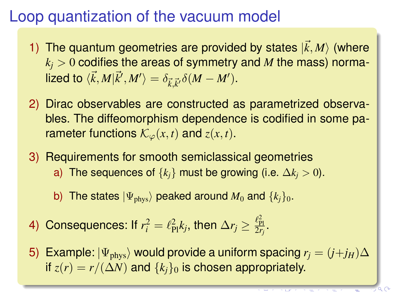# Loop quantization of the vacuum model

- 1) The quantum geometries are provided by states  $|\vec{k}, M\rangle$  (where  $k_i$  > 0 codifies the areas of symmetry and *M* the mass) norma- $\mathsf{Nized}~\mathsf{to}~\langle \vec{k}, M | \vec{k}', M' \rangle = \delta_{\vec{k}, \vec{k}'} \delta(M - M').$
- 2) Dirac observables are constructed as parametrized observables. The diffeomorphism dependence is codified in some parameter functions  $\mathcal{K}_{\varphi}(x,t)$  and  $z(x,t)$ .
- 3) Requirements for smooth semiclassical geometries a) The sequences of  $\{k_i\}$  must be growing (i.e.  $\Delta k_i > 0$ ).
	- b) The states  $|\Psi_{\text{phys}}\rangle$  peaked around  $M_0$  and  $\{k_i\}_0$ .
- 4) Consequences: If  $r_i^2 = \ell_{\text{Pl}}^2 k_j$ , then  $\Delta r_j \geq \frac{\ell_{\text{Pl}}^2}{2r_j}$ .
- 5) Example:  $|\Psi_{\text{phys}}\rangle$  would provide a uniform spacing  $r_i = (j+j_H)\Delta$ if  $z(r) = r/(\Delta N)$  and  $\{k_i\}_0$  is chosen appropriately.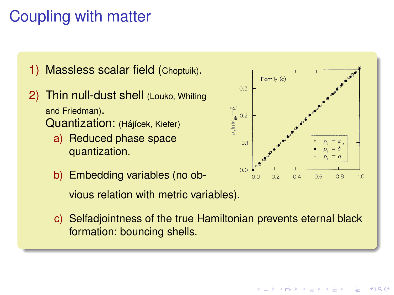# Coupling with matter

1) Massless scalar field (Choptuik).

- 2) Thin null-dust shell (Louko, Whiting and Friedman). Quantization: (Hájícek, Kiefer)
	- a) Reduced phase space quantization.
	- b) Embedding variables (no obvious relation with metric variables).
	- c) Selfadjointness of the true Hamiltonian prevents eternal black formation: bouncing shells.



 $2Q$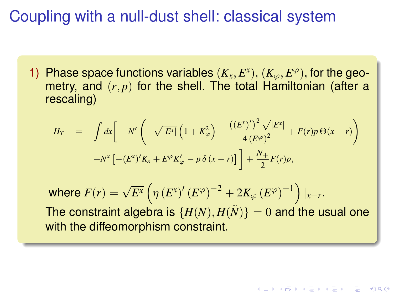# Coupling with a null-dust shell: classical system

1) Phase space functions variables  $(K_x, E^x)$ ,  $(K_\varphi, E^\varphi)$ , for the geometry, and  $(r, p)$  for the shell. The total Hamiltonian (after a rescaling)

$$
H_T = \int dx \left[ -N' \left( -\sqrt{|E^x|} \left( 1 + K_{\varphi}^2 \right) + \frac{\left( (E^x)' \right)^2 \sqrt{|E^x|}}{4 \left( E^{\varphi} \right)^2} + F(r) p \Theta(x - r) \right) + N^x \left[ -\left( E^x \right)' K_x + E^{\varphi} K_{\varphi}' - p \delta(x - r) \right] \right] + \frac{N_+}{2} F(r) p,
$$

where  $F(r) = \sqrt{E^{\chi}} \left( \eta \left( E^{\chi} \right)^{\prime} \left( E^{\varphi} \right)^{-2} + 2 K_{\varphi} \left( E^{\varphi} \right)^{-1} \right)|_{x=r}.$ The constraint algebra is  $\{H(N), H(\tilde{N})\} = 0$  and the usual one with the diffeomorphism constraint.

**KOD KOD KED KED E VOOR**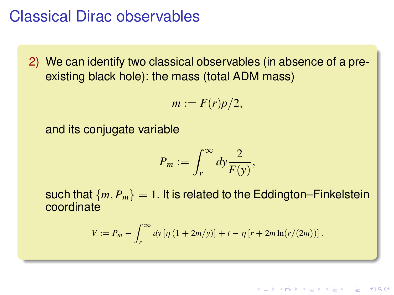## Classical Dirac observables

2) We can identify two classical observables (in absence of a preexisting black hole): the mass (total ADM mass)

$$
m:=F(r)p/2,
$$

and its conjugate variable

$$
P_m := \int_r^\infty dy \frac{2}{F(y)},
$$

such that  ${m, P_m} = 1$ . It is related to the Eddington–Finkelstein coordinate

$$
V := P_m - \int_r^{\infty} dy \left[ \eta \left( 1 + 2m/y \right) \right] + t - \eta \left[ r + 2m \ln(r/(2m)) \right].
$$

KEL KALEYKEN E VAG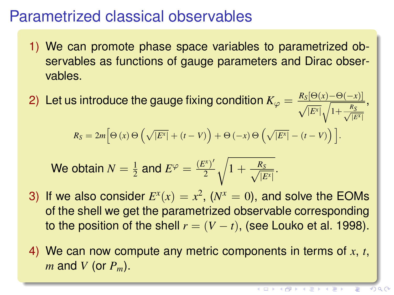## Parametrized classical observables

- 1) We can promote phase space variables to parametrized observables as functions of gauge parameters and Dirac observables.
- 2) Let us introduce the gauge fixing condition  $K_{\varphi} = \frac{R_S[\Theta(x) \Theta(-x)]}{\sqrt{|E^x|} \sqrt{1 + \frac{R_S}{\sqrt{|E^x|}}}}$ ,

$$
R_S = 2m \Big[\Theta\left(x\right)\Theta\left(\sqrt{\left|E^x\right|} + \left(t - V\right)\right) + \Theta\left(-x\right)\Theta\left(\sqrt{\left|E^x\right|} - \left(t - V\right)\right)\Big].
$$

We obtain 
$$
N = \frac{1}{2}
$$
 and  $E^{\varphi} = \frac{(E^{x})'}{2} \sqrt{1 + \frac{R_S}{\sqrt{|E^{x}|}}}$ .

- 3) If we also consider  $E^{x}(x) = x^2$ , ( $N^{x} = 0$ ), and solve the EOMs of the shell we get the parametrized observable corresponding to the position of the shell  $r = (V - t)$ , (see Louko et al. 1998).
- 4) We can now compute any metric components in terms of *x*, *t*, *m* and *V* (or *Pm*).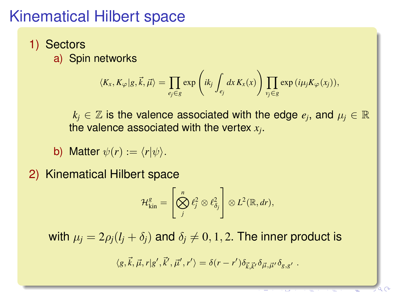# Kinematical Hilbert space

- 1) Sectors
	- a) Spin networks

$$
\langle K_x, K_{\varphi} | g, \vec{k}, \vec{\mu} \rangle = \prod_{e_j \in g} \exp \left( i k_j \int_{e_j} dx K_x(x) \right) \prod_{v_j \in g} \exp \left( i \mu_j K_{\varphi}(x_j) \right),
$$

 $k_j \in \mathbb{Z}$  is the valence associated with the edge  $e_j$ , and  $\mu_j \in \mathbb{R}$ the valence associated with the vertex *x<sup>j</sup>* .

- b) Matter  $\psi(r) := \langle r | \psi \rangle$ .
- 2) Kinematical Hilbert space

$$
\mathcal{H}_{\text{kin}}^g = \left[\bigotimes_j^n \ell_j^2 \otimes \ell_{\delta_j}^2\right] \otimes L^2(\mathbb{R}, dr),
$$

with  $\mu_i = 2\rho_i(l_i + \delta_i)$  and  $\delta_i \neq 0, 1, 2$ . The inner product is

$$
\langle g, \vec{k}, \vec{\mu}, r | g', \vec{k}', \vec{\mu}', r' \rangle = \delta(r - r') \delta_{\vec{k}, \vec{k}'} \delta_{\vec{\mu}, \vec{\mu}'} \delta_{g, g'}.
$$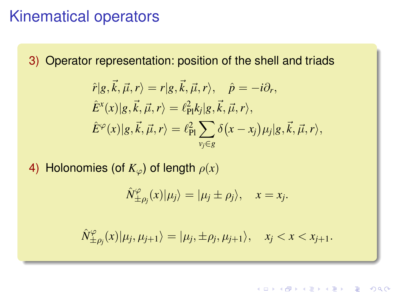### Kinematical operators

3) Operator representation: position of the shell and triads

$$
\hat{r}|g,\vec{k},\vec{\mu},r\rangle = r|g,\vec{k},\vec{\mu},r\rangle, \quad \hat{p} = -i\partial_r,
$$
  

$$
\hat{E}^x(x)|g,\vec{k},\vec{\mu},r\rangle = \ell_{\text{Pl}}^2 k_j |g,\vec{k},\vec{\mu},r\rangle,
$$
  

$$
\hat{E}^\varphi(x)|g,\vec{k},\vec{\mu},r\rangle = \ell_{\text{Pl}}^2 \sum_{v_j \in g} \delta(x - x_j) \mu_j |g,\vec{k},\vec{\mu},r\rangle,
$$

4) Holonomies (of  $K_{\varphi}$ ) of length  $\rho(x)$ 

$$
\hat{N}_{\pm \rho_j}^{\varphi}(x)|\mu_j\rangle = |\mu_j \pm \rho_j\rangle, \quad x = x_j.
$$

 $\hat{N}^{\varphi}_{+}$  $\langle \varphi_{\pm \rho_j}(x)|\mu_j, \mu_{j+1}\rangle = |\mu_j, \pm \rho_j, \mu_{j+1}\rangle, \quad x_j < x < x_{j+1}.$ 

**KOD KOD KED KED E VOOR**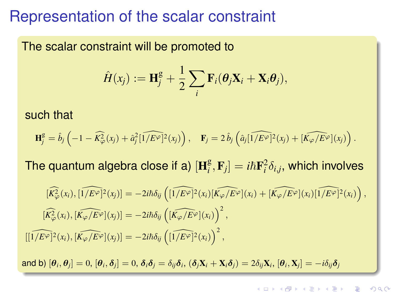### Representation of the scalar constraint

The scalar constraint will be promoted to

$$
\hat{H}(x_j) := \mathbf{H}_j^{\mathsf{g}} + \frac{1}{2} \sum_i \mathbf{F}_i(\boldsymbol{\theta}_j \mathbf{X}_i + \mathbf{X}_i \boldsymbol{\theta}_j),
$$

such that

$$
\mathbf{H}_{j}^{\text{g}} = \hat{b}_{j} \left( -1 - \widehat{K_{\varphi}^{2}}(x_{j}) + \hat{a}_{j}^{2} \widehat{[1/E^{\varphi}]}^{2}(x_{j}) \right), \quad \mathbf{F}_{j} = 2 \,\hat{b}_{j} \left( \hat{a}_{j} \widehat{[1/E^{\varphi}]}^{2}(x_{j}) + \widehat{[K_{\varphi}/E^{\varphi}]}(x_{j}) \right).
$$

The quantum algebra close if a)  $[\mathbf{H}_i^{\text{g}}]$  $\left[ \begin{matrix} {\mathbf g} \cr i \end{matrix} , {\mathbf F}_j \right] = i\hbar {\mathbf F}^2_i \delta_{i,j},$  which involves

$$
\begin{aligned}\n[\widehat{K_{\varphi}^{2}}(x_{i}), [1/E^{\varphi}]^{2}(x_{j})] &= -2i\hbar\delta_{ij} \left( [1/E^{\varphi}]^{2}(x_{i}) [\widehat{K_{\varphi}/E^{\varphi}}](x_{i}) + [\widehat{K_{\varphi}/E^{\varphi}}](x_{i}) [1/E^{\varphi}]^{2}(x_{i}) \right), \\
[\widehat{K_{\varphi}^{2}}(x_{i}), [\widehat{K_{\varphi}/E^{\varphi}}](x_{j})] &= -2i\hbar\delta_{ij} \left( [\widehat{K_{\varphi}/E^{\varphi}}](x_{i}) \right)^{2}, \\
[1/E^{\varphi}]^{2}(x_{i}), [\widehat{K_{\varphi}/E^{\varphi}}](x_{j})] &= -2i\hbar\delta_{ij} \left( [\widehat{1/E^{\varphi}}]^{2}(x_{i}) \right)^{2},\n\end{aligned}
$$

and b)  $[\bm{\theta}_i,\bm{\theta}_j]=0,$   $[\bm{\theta}_i,\bm{\delta}_j]=0,$   $\bm{\delta}_i\bm{\delta}_j=\delta_{ij}\bm{\delta}_i,$   $(\bm{\delta}_j\mathbf{X}_i+\mathbf{X}_i\bm{\delta}_j)=2\delta_{ij}\mathbf{X}_i,$   $[\bm{\theta}_i,\mathbf{X}_j]=-i\delta_{ij}\bm{\delta}_j$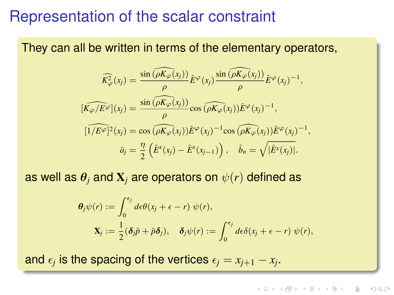### Representation of the scalar constraint

They can all be written in terms of the elementary operators,

$$
\widehat{K_{\varphi}^{2}}(x_{j}) = \frac{\sin(\widehat{\rho K_{\varphi}(x_{j})})}{\rho} \widehat{E}^{\varphi}(x_{j}) \frac{\sin(\widehat{\rho K_{\varphi}(x_{j})})}{\rho} \widehat{E}^{\varphi}(x_{j})^{-1},
$$
  

$$
[\widehat{K_{\varphi}/E^{\varphi}}](x_{j}) = \frac{\sin(\widehat{\rho K_{\varphi}(x_{j})})}{\rho} \cos(\widehat{\rho K_{\varphi}(x_{j})}) \widehat{E}^{\varphi}(x_{j})^{-1},
$$
  

$$
[\widehat{1/E^{\varphi}}]^{2}(x_{j}) = \cos(\widehat{\rho K_{\varphi}(x_{j})}) \widehat{E}^{\varphi}(x_{j})^{-1} \cos(\widehat{\rho K_{\varphi}(x_{j})}) \widehat{E}^{\varphi}(x_{j})^{-1},
$$
  

$$
\widehat{a}_{j} = \frac{\eta}{2} (\widehat{E}^{x}(x_{j}) - \widehat{E}^{x}(x_{j-1})) , \quad \widehat{b}_{n} = \sqrt{|\widehat{E}^{x}(x_{j})|}.
$$

as well as  $\theta_i$  and  $\mathbf{X}_i$  are operators on  $\psi(r)$  defined as

$$
\theta_j \psi(r) := \int_0^{\epsilon_j} d\epsilon \theta(x_j + \epsilon - r) \psi(r),
$$
  

$$
\mathbf{X}_j := \frac{1}{2} (\delta_j \hat{p} + \hat{p} \delta_j), \quad \delta_j \psi(r) := \int_0^{\epsilon_j} d\epsilon \delta(x_j + \epsilon - r) \psi(r),
$$

and  $\epsilon_j$  is the spacing of the vertices  $\epsilon_j = x_{j+1} - x_j.$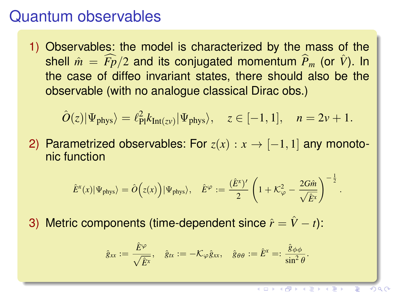### Quantum observables

1) Observables: the model is characterized by the mass of the shell  $\hat{m} = \widehat{F}/2$  and its conjugated momentum  $\widehat{P}_m$  (or  $\widehat{V}$ ). In the case of diffeo invariant states, there should also be the observable (with no analogue classical Dirac obs.)

$$
\hat{O}(z)|\Psi_{\text{phys}}\rangle = \ell_{\text{Pl}}^2 k_{\text{Int}(z\nu)}|\Psi_{\text{phys}}\rangle, \quad z \in [-1, 1], \quad n = 2\nu + 1.
$$

2) Parametrized observables: For  $z(x) : x \rightarrow [-1, 1]$  any monotonic function

$$
\hat{E}^{x}(x)|\Psi_{\text{phys}}\rangle = \hat{O}\Big(z(x)\Big)|\Psi_{\text{phys}}\rangle, \quad \hat{E}^{\varphi} := \frac{(\hat{E}^{x})'}{2}\left(1 + \mathcal{K}_{\varphi}^{2} - \frac{2G\hat{m}}{\sqrt{\hat{E}^{x}}}\right)^{-\frac{1}{2}}
$$

3) Metric components (time-dependent since  $\hat{r} = \hat{V} - t$ ):

$$
\hat{g}_{xx} := \frac{\hat{E}^{\varphi}}{\sqrt{\hat{E}^{x}}}, \quad \hat{g}_{tx} := -\mathcal{K}_{\varphi}\hat{g}_{xx}, \quad \hat{g}_{\theta\theta} := \hat{E}^{x} =: \frac{\hat{g}_{\phi\phi}}{\sin^{2}\theta}.
$$

.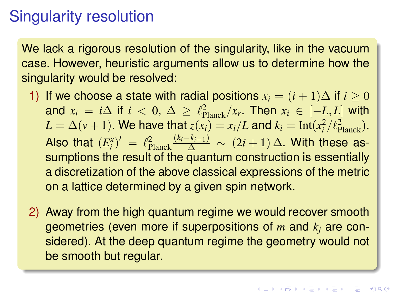# Singularity resolution

We lack a rigorous resolution of the singularity, like in the vacuum case. However, heuristic arguments allow us to determine how the singularity would be resolved:

- 1) If we choose a state with radial positions  $x_i = (i + 1)\Delta$  if  $i \geq 0$ and  $x_i = i\Delta$  if  $i < 0$ ,  $\Delta \geq \ell_{\text{Planck}}^2/x_r$ . Then  $x_i \in [-L, L]$  with  $L = \Delta(v+1)$ . We have that  $z(x_i) = x_i/L$  and  $k_i = \text{Int}(x_i^2/\ell_{\text{Planck}}^2)$ . Also that  $(E_i^x)' = \ell_{\text{Planck}}^2 \frac{(k_i - k_{i-1})}{\Delta} \sim (2i + 1) \Delta$ . With these assumptions the result of the quantum construction is essentially a discretization of the above classical expressions of the metric on a lattice determined by a given spin network.
- 2) Away from the high quantum regime we would recover smooth geometries (even more if superpositions of *m* and *k<sup>j</sup>* are considered). At the deep quantum regime the geometry would not be smooth but regular.